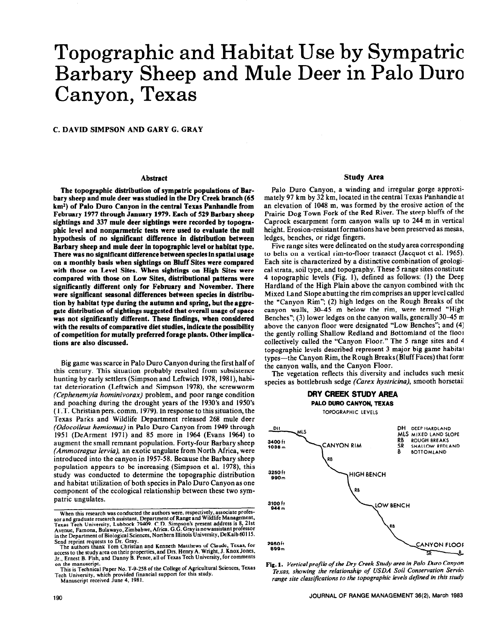# Topographic and Habitat Use by Sympatric Barbary Sheep and Mule Deer in Palo Duro Canyon, Texas

**C. DAVID SIMPSON AND GARY G. GRAY** 

### **Abstract**

**The topographic distribution of symptric populations of Barbary sheep and mule deer was studied in the Dry Creek branch (65 km\*) of Palo Duro Canyon in the central Texas Panhandle from February 1977 through January 1979. Each of 529 Barbary sheep sightings and 337 mule deer sightings were recorded by topographic level and nonparmetric tests were used to evaluate the null hypothesis of no significant difference in distribution between Barbary sheep and mule deer in topographic level or habitat type. There was no significant difference between species in spatial usage on a monthly basis when sightings on Bluff Sites were compared with those on Level Sites. When sightings on High Sites were compared with those on Low Sites, distributional patterns were significantly different only for February and November. There were significant seasonal differences between species in distrlbution by habitat type during the autumn and spring, but the aggregate distribution of sightings suggested that overall usage of space was not significantly different. These findings, when considered with the results of comparative diet studies, indicate the possibility of competition for mutally preferred forage plants. Other implications are also discussed.** 

Big game was scarce in Palo Duro Canyon during the first half of this century. This situation probably resulted from subsistence hunting by early settlers (Simpson and Leftwich 1978, 1981), habitat deterioration (Leftwich and Simpson 1978), the screwworm *(Cephenemyia hominivorax)* problem, and poor range condition and poaching during the drought years of the 1930's and 1950's (T.T. Christianpers. comm. 1979). In response to this situation, the Texas Parks and Wildlife Department released 268 mule deer *(Odocoileus hemionus)* in Palo Duro Canyon from 1949 through 1951 (DeArment 1971) and 85 more in 1964 (Evans 1964) to augment the small remnant population. Forty-four Barbary sheep *(Ammotragus lervia),* an exotic ungulate from North Africa, were introduced into the canyon in 1957-58. Because the Barbary sheep population appears to be increasing (Simpson et al. l978), this study was conducted to determine the topographic distribution and habitat utilization of both species in Palo Duro Canyon as one component of the ecological relationship between these two sympatric ungulates.

**Tech University, which provided financial support for this study. Manuscript received June 4, 1981.** 

# **Study Area**

Palo Duro Canyon, a winding and irregular gorge approximately 97 km by 32 km, located in the central Texas Panhandle at an elevation of 1048 m, was formed by the erosive action of the Prairie Dog Town Fork of the Red River. The steep bluffs of the Caprock escarpment form canyon walls up to 244 m in vertical height. Erosion-resistant formations have been preserved as mesas, ledges, benches, or ridge fingers.

Five range sites were delineated on the study area corresponding to belts on a vertical rim-to-floor transect (Jacquot et al. 1965). Each site is characterized by a distinctive combination of geological strata, soil type, and topography. These 5 range sitesconstitute 4 topographic levels (Fig. I), defined as follows: (1) the Deep Hardland of the High Plain above the canyon combined with the Mixed Land Slope abutting the rim comprises an upper level called the "Canyon Rim"; (2) high ledges on the Rough Breaks of the canyon walls, 30-45 m below the rim, were termed "High Benches"; (3) lower ledges on the canyon walls, generally 30-45 m above the canyon floor were designated "LOW Benches"; and (4) the gently rolling Shallow Redland and Bottomland of the floor collectively called the "Canyon Floor." The 5 range sites and 4 topographic levels described represent 3 major big game habitat types—the Canyon Rim, the Rough Breaks (Bluff Faces) that form the canyon walls, and the Canyon Floor.

The vegetation reflects this diversity and includes such mesic species as bottlebrush sedge *(Carex hystricina),* smooth horsetail



**Fig. 1.** *Verticalprofile of the Dry Creek Study area in Palo Duro Canyon,*  Texas, showing the relationship of USDA Soil Conservation Service *range site classifications* **to** *the topographic levels defined in this study.* 

When this research was conducted the authors were, respectively, associate process-<br>sor and graduate research assistant, Department of Range and Wildlife Management,<br>Texas Tech University, Lubbock 79409. C.D. Simpson's pre in the Department of Biological Sciences, Northern Illinois University, DeKalb 60115.

Send reprint requests to Dr. Gray.<br>The authors thank Tom Christian and Kenneth Matthews of Claude, Texas, for<br>access to the study area on their properties, and Drs. Henry A. Wright, J. Knox Jones,<br>I- Fraget B. Fish and Dan **on the manuscript:** 

**This is Technical Paper No. T-9-258 of the College of Agricultural Sciences, Texas**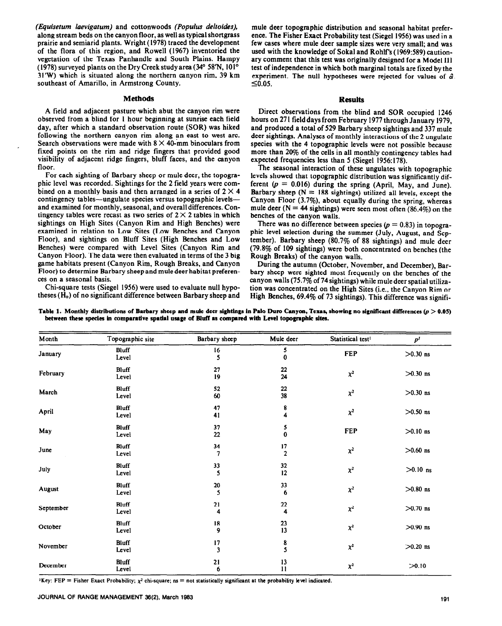*(Equisetum laevigatum)* and cottonwoods *(Populus deltoides),*  along stream beds on the canyon floor, as well as typical shortgrass prairie and semiarid plants. Wright (1978) traced the development of the flora of this region, and Rowell (1967) inventoried the vegetation of the Texas Panhandle and South Plains. Hampy (1978) surveyed plants on the Dry Creek study area (34° 58'N, 101° 31'W) which is situated along the northern canyon rim, 39 km southeast of Amarillo, in Armstrong County.  $\leq 0.05$ .

# **Methods Results**

A field and adjacent pasture which abut the canyon rim were observed from a blind for 1 hour beginning at sunrise each field day, after which a standard observation route (SOR) was hiked following the northern canyon rim along an east to west arc. Search observations were made with  $8 \times 40$ -mm binoculars from fixed points on the rim and ridge fingers that provided good visibility of adjacent ridge fingers, bluff faces, and the canyon floor.

For each sighting of Barbary sheep or mule deer, the topographic level was recorded. Sightings for the 2 field years were combined on a monthly basis and then arranged in a series of  $2 \times 4$ contingency tables-ungulate species versus topographic levelsand examined for monthly, seasonal, and overall differences. Contingency tables were recast as two series of  $2 \times 2$  tables in which sightings on High Sites (Canyon Rim and High Benches) were examined in relation to Low Sites (Low Benches and Canyon Floor), and sightings on Bluff Sites (High Benches and Low Benches) were compared with Level Sites (Canyon Rim and Canyon Floor). The data were then evaluated in terms of the 3 big game habitats present (Canyon Rim, Rough Breaks, and Canyon Floor) to determine Barbary sheep and mule deer habitat preferences on a seasonal basis.

Chi-square tests (Siegel 1956) were used to evaluate null hypotheses (H,) of no significant difference between Barbary sheep and mule deer topographic distribution and seasonal habitat preference. The Fisher Exact Probability test (Siegel 1956) was used in a few cases where mule deer sample sixes were very small; and was used with the knowledge of Sokal and Rohlf's (1969:589) cautionary comment that this test was originally designed for a Model 111 test of independence in which both marginal totals are fixed by the experiment. The null hypotheses were rejected for values of  $\hat{\alpha}$ .

Direct observations from the blind and SOR occupied 1246 hours on 271 fielddays from February 1977 through January 1979, and produced a total of 529 Barbary sheep sightings and 337 mule deer sightings. Analyses of monthly interactions of the 2 ungulate species with the 4 topographic levels were not possible because more than 20% of the cells in all monthly contingency tables had expected frequencies less than  $5$  (Siegel 1956:178).

The seasonal interaction of these ungulates with topographic levels showed that topographic distribution was significantly different  $(p = 0.016)$  during the spring (April, May, and June). Barbary sheep ( $N = 188$  sightings) utilized all levels, except the Canyon Floor (3.7%), about equally during the spring, whereas mule deer ( $N = 44$  sightings) were seen most often (86.4%) on the benches of the canyon walls.

There was no difference between species ( $p = 0.83$ ) in topographic level selection during the summer (July, August, and September). Barbary sheep (80.7% of 88 sightings) and mule deer (79.8% of 109 sightings) were both concentrated on benches (the Rough Breaks) of the canyon walls.

During the autumn (October, November, and December), Barbary sheep were sighted most frequently on the benches of the canyon walls (75.7% of 74 sightings) while mule deer spatial utilization was concentrated on the High Sites (i.e., the Canyon Rim or High Benches, 69.4% of 73 sightings). This difference was signifi-

| Month     | Topographic site      | Barbary sheep                 | Mule deer            | Statistical test <sup>1</sup> | p <sup>l</sup> |
|-----------|-----------------------|-------------------------------|----------------------|-------------------------------|----------------|
| January   | Bluff<br>Level        | 16<br>5                       | 5<br>0               | <b>FEP</b>                    | $>0.30$ ns     |
| February  | Bluff<br>Level        | 27<br>19                      | 22<br>24             | $\chi^2$                      | $>0.30$ ns     |
| March     | <b>Bluff</b><br>Level | 52<br>60                      | 22<br>38             | $\chi^2$                      | $>0.30$ ns     |
| April     | <b>Bluff</b><br>Level | 47<br>41                      | 8<br>4               | $\chi^2$                      | $>0.50$ ns     |
| May       | <b>Bluff</b><br>Level | 37<br>22                      | 5<br>$\bf{0}$        | <b>FEP</b>                    | $>0.10$ ns     |
| June      | <b>Bluff</b><br>Level | 34                            | 17<br>$\overline{2}$ | $\chi^2$                      | $>0.60$ ns     |
| July      | Bluff<br>Level        | 33<br>5                       | 32<br>12             | $\chi^2$                      | $>0.10$ ns     |
| August    | Bluff<br>Level        | 20<br>5                       | 33<br>6              | $\chi^2$                      | $>0.80$ ns     |
| September | <b>Bluff</b><br>Level | 21<br>4                       | 22<br>4              | $\chi^2$                      | $>0.70$ ns     |
| October   | <b>Bluff</b><br>Level | 18<br>9                       | 23<br>13             | $\chi^2$                      | $>0.90$ ns     |
| November  | <b>Bluff</b><br>Level | 17<br>$\overline{\mathbf{3}}$ | 8<br>5               | $\chi^2$                      | $>0.20$ ns     |
| December  | Bluff<br>Level        | 21<br>6                       | 13<br>$\mathbf{11}$  | $\chi^2$                      | >0.10          |

Table 1. Monthly distributions of Barbary sheep and mule deer sightings in Palo Duro Canyon, Texas, showing no significant differences  $(p > 0.05)$ between these species in comparative spatial usage of Bluff as compared with Level topographic sites.

 $Key: FEP = Fisher Exact Probability;  $\chi^2$  chi-square; ns = not statistically significant at the probability level indicated.$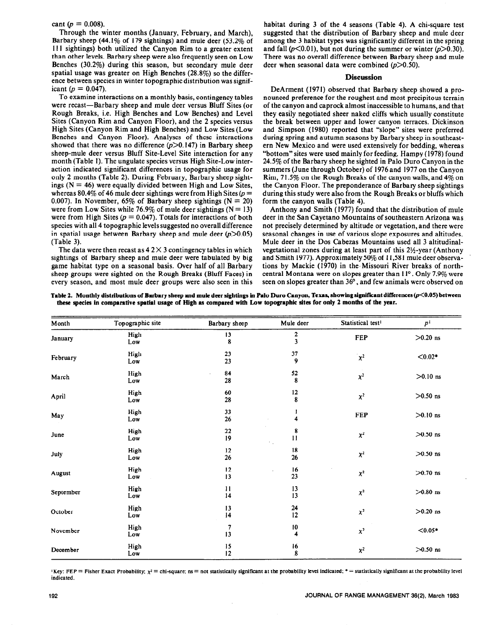cant ( $p = 0.008$ ).

Through the winter months (January, February, and March), Barbary sheep (44.1% of 179 sightings) and mule deer (53.2% of II I sightings) both utilized the Canyon Rim to a greater extent than other levels. Barbary sheep were also frequently seen on Low Benches (30.2%) during this season, but secondary mule deer spatial usage was greater on High Benches (28.8%) so the difference between species in winter topographic distribution was significant ( $p = 0.047$ ).

To examine interactions on a monthly basis, contingency tables were recast-Barbary sheep and mule deer versus Bluff Sites (or Rough Breaks, i.e. High Benches and Low Benches) and Level Sites (Canyon Rim and Canyon Floor), and the 2 species versus High Sites (Canyon Rim and High Benches) and Low Sites (Low Benches and Canyon Floor). Analyses of these interactions showed that there was no difference  $(p>0.147)$  in Barbary sheep sheep-mule deer versus Bluff Site-Level Site interaction for any month (Table 1). The ungulate species versus High Site-Low interaction indicated significant differences in topographic usage for only 2 months (Table 2). During February, Barbary sheep sightings  $(N = 46)$  were equally divided between High and Low Sites, whereas 80.4% of 46 mule deer sightings were from High Sites  $(p =$ 0.007). In November, 65% of Barbary sheep sightings ( $N = 20$ ) were from Low Sites while 76.9% of mule deer sightings ( $N = 13$ ) were from High Sites ( $p = 0.047$ ). Totals for interactions of both species with all 4 topographic levels suggested no overall difference in spatial usage between Barbary sheep and mule deer  $(p>0.05)$ (Table 3).

The data were then recast as  $42 \times 3$  contingency tables in which sightings of Barbary sheep and mule deer were tabulated by big game habitat type on a seasonal basis. Over half of all Barbary sheep groups were sighted on the Rough Breaks (Bluff Faces) in every season, and most mule deer groups were also seen in this habitat during 3 of the 4 seasons (Table 4). A chi-square test suggested that the distribution of Barbary sheep and mule deer among the 3 habitat types was significantly different in the spring and fall  $(p<0.01)$ , but not during the summer or winter  $(p>0.30)$ . There was no overall difference between Barbary sheep and mule deer when seasonal data were combined  $(p>0.50)$ .

## **Discussion**

DeArment (1971) observed that Barbary sheep showed a pronounced preference for the roughest and most precipitous terrain of the canyon and caprock almost inaccessible to humans, and that they easily negotiated sheer naked cliffs which usually constitute the break between upper and lower canyon terraces. Dickinson and Simpson (1980) reported that "slope" sites were preferred during spring and autumn seasons by Barbary sheep in southeastern New Mexico and were used extensively for bedding, whereas "bottom" sites were used mainly for feeding. Hampy (1978) found 24.5% of the Barbary sheep he sighted in Palo Duro Canyon in the summers (June through October) of 1976 and 1977 on the Canyon Rim, 71.5% on the Rough Breaks of the canyon walls, and 4% on the Canyon Floor. The preponderance of Barbary sheep sightings during this study were also from the Rough Breaks **or bluffs** which form the canyon walls (Table 4).

Anthony and Smith (1977) found that the distribution of mule deer in the San Cayetano Mountains of southeastern Arizona was not precisely determined by altitude or vegetation, and there were seasonal changes in use of various slope exposures and altitudes. Mule deer in the DOS Cabezas Mountains used all 3 altitudinalvegetational zones during at least part of this 21/2-year (Anthony and Smith 1977). Approximately 50% of 11,58 I mule deer observations by Mackie (1970) in the. Missouri River breaks of northcentral Montana were on slopes greater than  $11^{\circ}$ . Only 7.9% were seen on slopes greater than 36', and few animals were observed on

Table 2. Monthly distributions of Barbary sheep and mule deer sightings in Palo Duro Canyon, Texas, showing significant differences (p<0.05) between **these species in comparative spatial usage of High as compared with Low topographic sites for only 2 months of the year.** 

| Month     | Topographic site | Barbary sheep       | Mule deer                     | Statistical test <sup>1</sup> | p <sup>1</sup> |
|-----------|------------------|---------------------|-------------------------------|-------------------------------|----------------|
| January   | High<br>Low      | 13<br>8             | $\frac{2}{3}$                 | FEP                           | $>0.20$ ns     |
| February  | High<br>Low      | 23<br>23            | 37<br>9                       | $\chi^2$                      | $< 0.02*$      |
| March     | High<br>Low      | 84<br>28            | 52<br>8                       | $\chi^2$                      | $>0.10$ ns     |
| April     | High<br>Low      | 60<br>28            | $12 \text{ }$<br>8            | $\chi^2$                      | $>0.50$ ns     |
| May       | High<br>Low      | 33<br>26            | 1<br>4                        | FEP                           | $>0.10$ ns     |
| June      | High<br>Low      | 22<br>19            | 8<br>$\mathbf{11}$<br>÷.      | $\chi^2$                      | $>0.50$ ns     |
| July      | High<br>Low      | 12<br>26            | 18<br>26                      | $\chi^2$                      | $>0.50$ ns     |
| August    | High<br>Low      | 12<br>13            | 16<br>23                      | $\chi^2$                      | $>0.70$ ns     |
| September | High<br>Low      | $\mathbf{11}$<br>14 | 13<br>13                      | $\chi^2$                      | $>0.80$ ns     |
| October   | High<br>Low      | 13<br>14            | 24<br>12                      | $\chi^2$                      | $>0.20$ ns     |
| November  | High<br>Low      | 7<br>13             | 10<br>$\overline{\mathbf{4}}$ | $\chi^2$                      | $< 0.05*$      |
| December  | High<br>Low      | 15<br>12            | 16<br>$\bf 8$                 | $\chi^2$                      | $>0.50$ ns     |

 $Key: FEP = Fisher Exact Probability;  $\chi^2 = \text{chi-square; as} = \text{not statistically significant at the probability level indicated; * = statistically significant at the probability level.$$ **indicated.**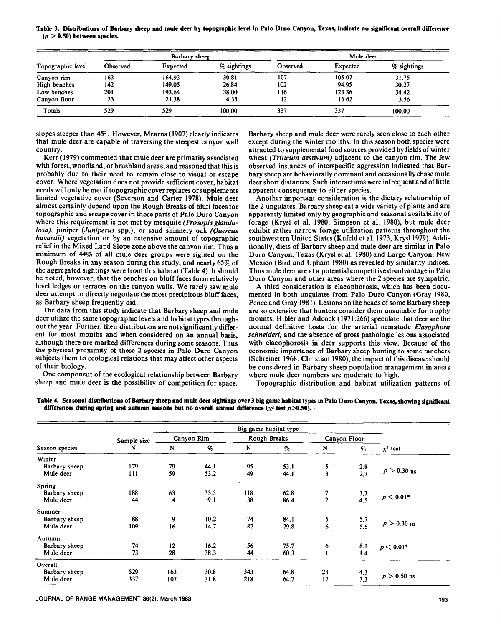**Table 3. Distributions of Barbary sheep and muie deer by topographic level in Palo Duro Canyon, Texas, indicate no significant overall difference**   $(p > 0.50)$  between species.

|                   |          | Barbary sheep |             |          | Mule deer |             |
|-------------------|----------|---------------|-------------|----------|-----------|-------------|
| Topographic level | Observed | Expected      | % sightings | Observed | Expected  | % sightings |
| Canyon rim        | 163      | 164.93        | 30.81       | 107      | 105.07    | 31.75       |
| High benches      | 142      | 149.05        | 26.84       | 102      | 94.95     | 30.27       |
| Low benches       | 201      | 193.64        | 38.00       | 116      | 123.36    | 34.42       |
| Canyon floor      | 23       | 21.38         | 4.35        | 12       | 13.62     | 3.56        |
| Totals            | 529      | 529           | 100.00      | 337      | 337       | 100.00      |

slopes steeper than 45'. However, Mearns (1907) clearly indicates that mule deer are capable of traversing the steepest canyon wall country.

Kerr (1979) commented that mule deer are primarily associated with forest, woodland, or brushland areas, and reasoned that this is probably due to their need to remain close to visual or escape cover. Where vegetation does not provide sufficient cover, habitat needs will only be met if topographic cover replaces or supplements limited vegetative cover (Severson and Carter 1978). Mule deer almost certainly depend upon the Rough Breaks of bluff faces for topographic and escape cover in those parts of Palo Duro Canyon where this requirement is not met by mesquite (Prosopis glandu*loss),* juniper *(Juniperus* spp.), or sand shinnery oak *(Quercus havardii)* vegetation or by an extensive amount of topographic relief in the Mixed Land Slope zone above the canyon rim. Thus a minimum of 44% of all mule deer groups were sighted on the Rough Breaks in any season during this study, and nearly 65% of the aggregated sightings were from this habitat (Table 4). It should be noted, however, that the benches on bluff faces form relatively level ledges or terraces on the canyon walls. We rarely saw mule deer attempt to directly negotiate the most precipitous bluff faces, as Barbary sheep frequently did.

The data from this study indicate that Barbary sheep and mule deer utilize the same topographic levels and habitat types throughout the year. Further, their distribution are not significantly different for most months and when considered on an annual basis, although there are marked differences during some seasons. Thus the physical proximity of these 2 species in Palo Duro Canyon subjects them to ecological relations that may affect other aspects of their biology.

One component of the ecological relationship between Barbary sheep and mule deer is the possibility of competition for space.

Barbary sheep and mule deer were rarely seen close to each other except during the winter months. In this season both species were attracted to supplemental food sources provided **by** fields of winter wheat *(Triticum uestivum)* adjacent to the canyon rim. The few observed instances of interspecific aggression indicated that Barbary sheep are behaviorally dominant and occasionally chase mule deer short distances. Such interactions were infrequent and of little apparent consequence to either species.

Another important consideration is the dietary relationship of the 2 ungulates. Barbary sheep eat a wide variety of plants and are apparently limited only by geographic and seasonal availability of forage (Krysl et al. 1980, Simpson et al. i980), but mule deer exhibit rather narrow forage utilization patterns throughout the southwestern United States (Kufeld et al. 1973, Krysl 1979). Additionally, diets of Barbary sheep and mule deer are similar in Palo Duro Canyon, Texas (Krysi et al. 1980) and Largo Canyon, New Mexico (Bird and Upham 1980) as revealed by similarity indices. Thus mule deer are at a potential competitive disadvantage in Palo Duro Canyon and other areas where the 2 species are sympatric.

A third consideration is eiaeophorosis, which has been documented in both ungulates from Palo Duro Canyon (Gray 1980, Pence and Gray 198 I). Lesions on the heads of some Barbary sheep are so extensive that hunters consider them unsuitable for trophy mounts. Hibler and Adcock (197 1:266) speculate that deer are the normal definitive hosts for the arterial nematode *Ekzeophoru schneideri,* and the absence of gross pathologic lesions associated with elaeophorosis in deer supports this view. Because of the economic importance of Barbary sheep hunting to some ranchers (Schreiner 1968. Christian 1980), the impact of this disease should be considered in Barbary sheep population management in areas where mule deer numbers are moderate to high.

Topographic distribution and habitat utilization patterns of

|                |             |     | Big game habitat type |     |              |                |                |               |
|----------------|-------------|-----|-----------------------|-----|--------------|----------------|----------------|---------------|
|                | Sample size |     | Canyon Rim            |     | Rough Breaks |                | Canyon Floor   |               |
| Season species | N           | N   | %                     | N   | $\%$         | N              | $\%$           | $\chi^2$ test |
| Winter         |             |     |                       |     |              |                |                |               |
| Barbary sheep  | 179         | 79  | 44.1                  | 95  | 53.1         |                | 2.8            |               |
| Mule deer      | 111         | 59  | 53.2                  | 49  | 44.1         | $\frac{5}{3}$  | 2,7            | $p > 0.30$ ns |
| Spring         |             |     |                       |     |              |                |                |               |
| Barbary sheep  | 188         | 63  | 33.5                  | 118 | 62.8         | 7              | 3.7            |               |
| Mule deer      | 44          | 4   | 9.1                   | 38  | 86.4         | $\overline{2}$ | 4.5            | $p < 0.01*$   |
| Summer         |             |     |                       |     |              |                |                |               |
| Barbary sheep  | 88          | 9   | 10.2                  | 74  | 84.1         | 5              |                |               |
| Mule deer      | 109         | 16  | 14.7                  | 87  | 79.8         | 6              | $5.7$<br>$5.5$ | $p > 0.30$ ns |
| Autumn         |             |     |                       |     |              |                |                |               |
| Barbary sheep  | 74          | 12  | 16.2                  | 56  | 75.7         | 6              | 8.1            | $p < 0.01*$   |
| Mule deer      | 73          | 28  | 38.3                  | 44  | 60.3         |                | 1.4            |               |
| Overall        |             |     |                       |     |              |                |                |               |
| Barbary sheep  | 529         | 163 | 30.8                  | 343 | 64.8         | 23             | 4.3            |               |
| Mule deer      | 337         | 107 | 31.8                  | 218 | 64.7         | 12             | 3.3            | $p > 0.50$ ns |

Table 4. Seasonal distributions of Barbary sheep and mule deer sightings over 3 big game habitat types in Palo Duro Canyon, Texas, showing significant differences during spring and autumn seasons but no overall annual difference ( $\chi^2$  test  $p > 0.50$ ).